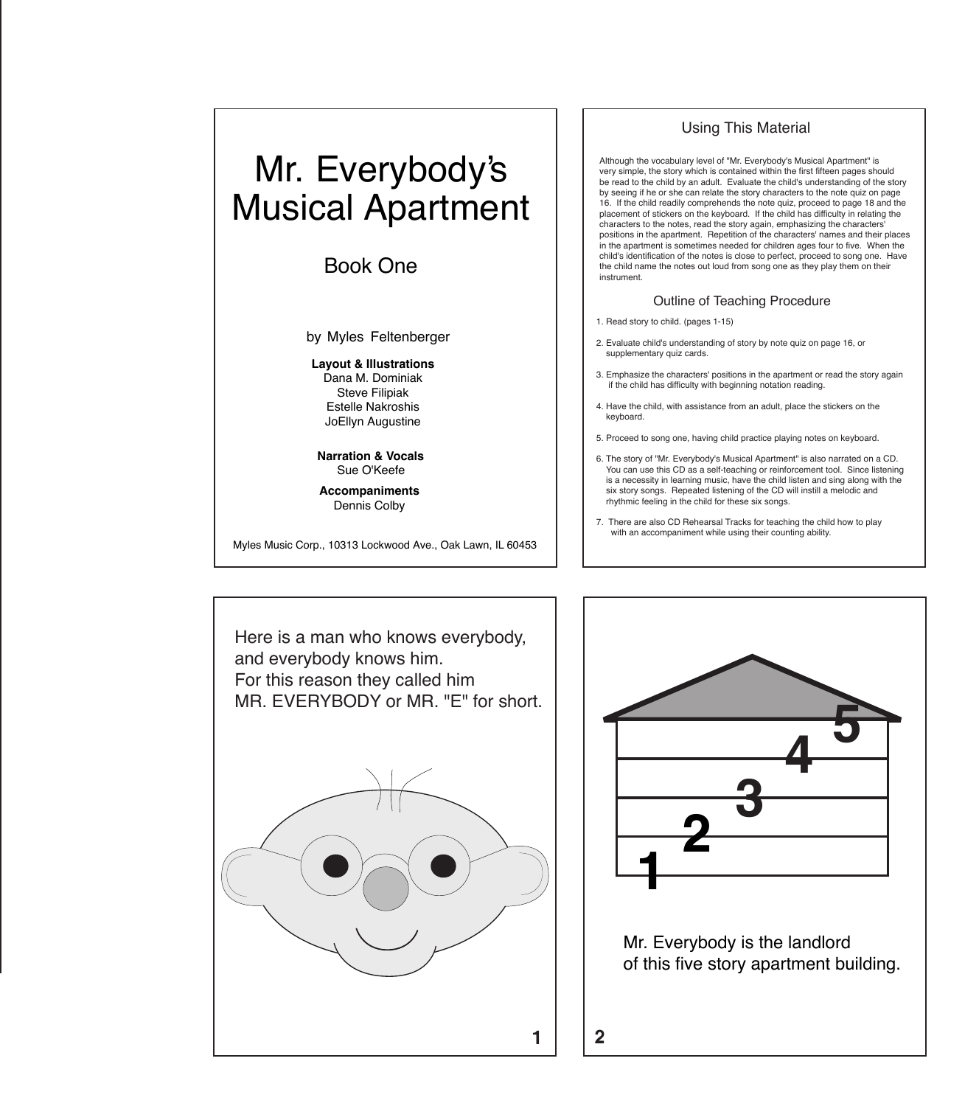## Mr. Everybody's Musical Apartment

Book One

by Myles Feltenberger

**Layout & Illustrations** Dana M. Dominiak Steve Filipiak Estelle Nakroshis JoEllyn Augustine

**Narration & Vocals** Sue O'Keefe

**Accompaniments** Dennis Colby

Myles Music Corp., 10313 Lockwood Ave., Oak Lawn, IL 60453

## Using This Material

Although the vocabulary level of "Mr. Everybody's Musical Apartment" is very simple, the story which is contained within the first fifteen pages should be read to the child by an adult. Evaluate the child's understanding of the story by seeing if he or she can relate the story characters to the note quiz on page 16. If the child readily comprehends the note quiz, proceed to page 18 and the placement of stickers on the keyboard. If the child has difficulty in relating the characters to the notes, read the story again, emphasizing the characters' positions in the apartment. Repetition of the characters' names and their places in the apartment is sometimes needed for children ages four to five. When the child's identification of the notes is close to perfect, proceed to song one. Have the child name the notes out loud from song one as they play them on their instrument.

## Outline of Teaching Procedure

- 1. Read story to child. (pages 1-15)
- 2. Evaluate child's understanding of story by note quiz on page 16, or supplementary quiz cards.
- 3. Emphasize the characters' positions in the apartment or read the story again if the child has difficulty with beginning notation reading.
- 4. Have the child, with assistance from an adult, place the stickers on the keyboard.
- 5. Proceed to song one, having child practice playing notes on keyboard.
- 6. The story of "Mr. Everybody's Musical Apartment" is also narrated on a CD. You can use this CD as a self-teaching or reinforcement tool. Since listening is a necessity in learning music, have the child listen and sing along with the six story songs. Repeated listening of the CD will instill a melodic and rhythmic feeling in the child for these six songs.
- 7. There are also CD Rehearsal Tracks for teaching the child how to play with an accompaniment while using their counting ability.



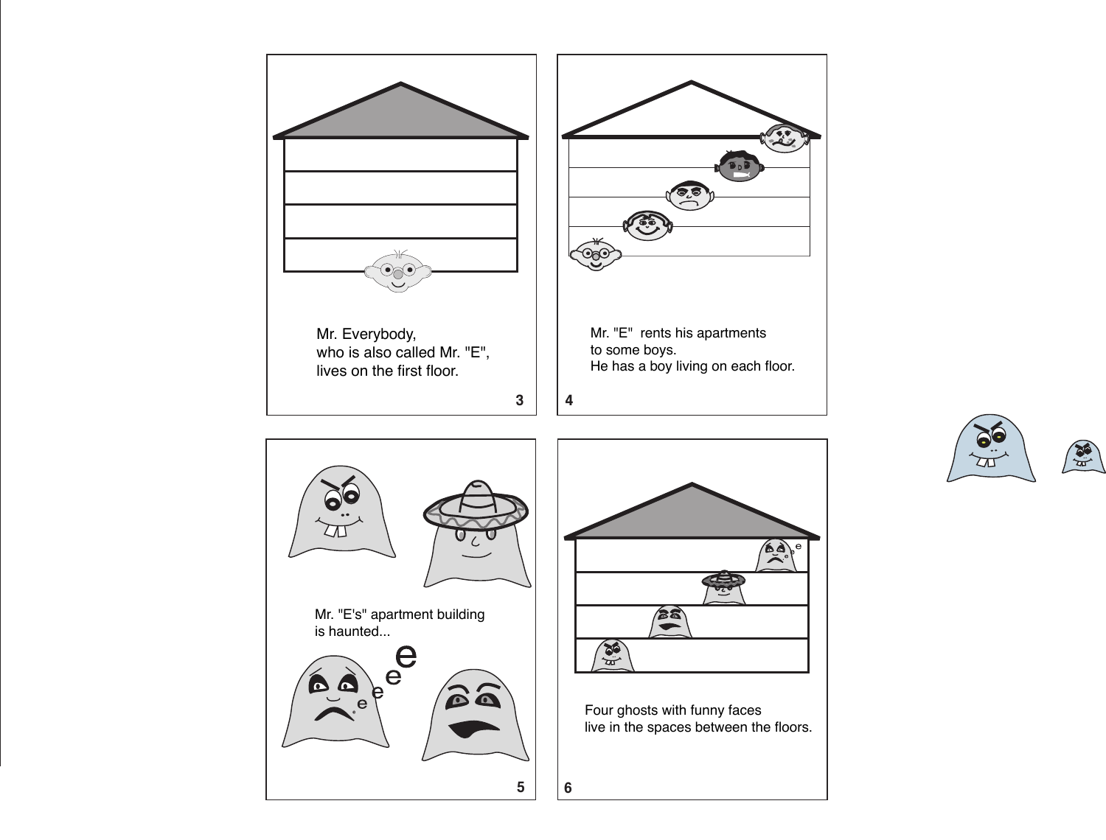

![](_page_1_Picture_1.jpeg)

![](_page_1_Picture_2.jpeg)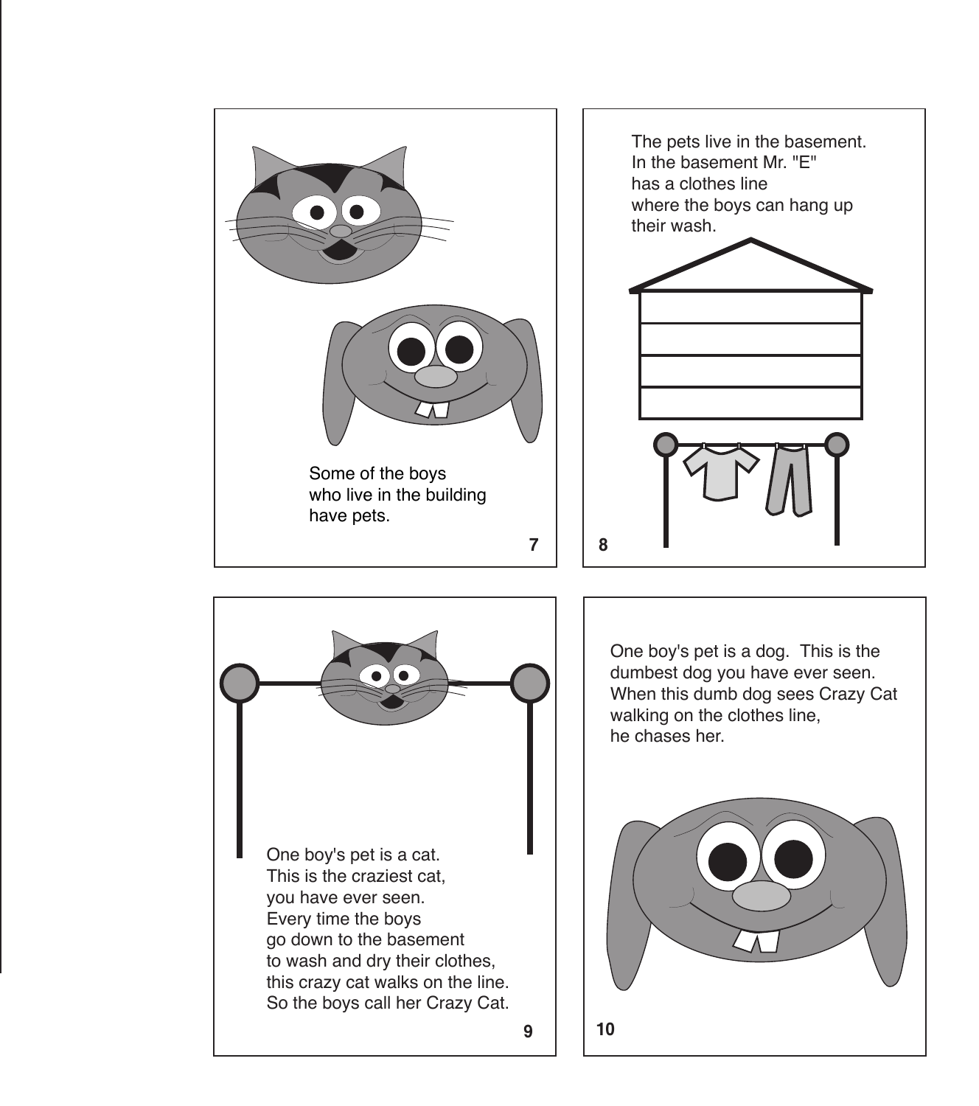![](_page_2_Picture_0.jpeg)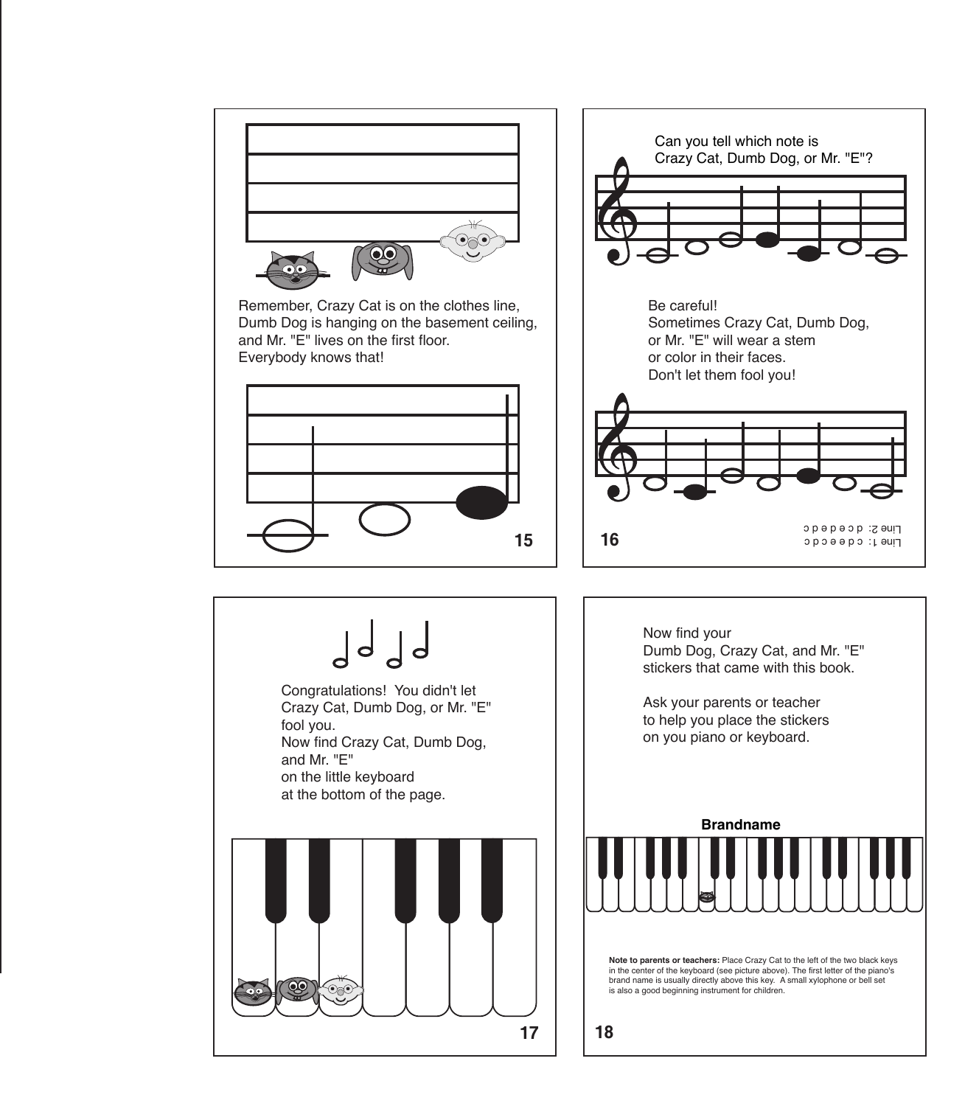![](_page_3_Figure_0.jpeg)